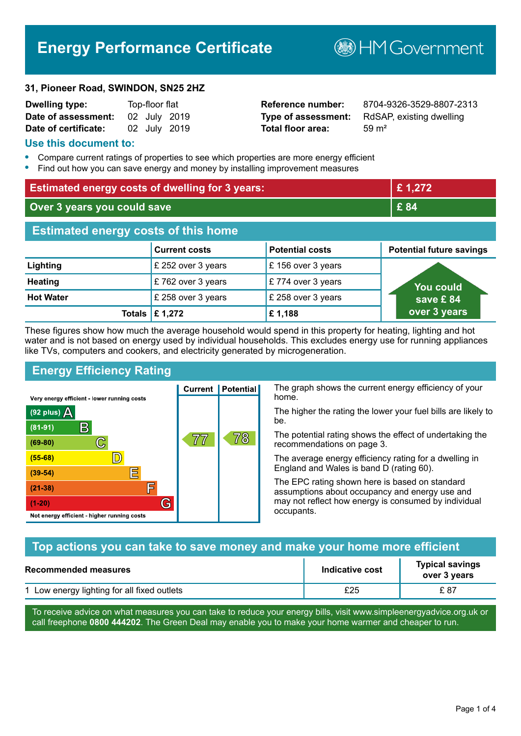# **Energy Performance Certificate**

**B**HM Government

#### **31, Pioneer Road, SWINDON, SN25 2HZ**

| <b>Dwelling type:</b> | Top-floor flat |              |
|-----------------------|----------------|--------------|
| Date of assessment:   |                | 02 July 2019 |
| Date of certificate:  |                | 02 July 2019 |

# **Total floor area:** 59 m<sup>2</sup>

**Reference number:** 8704-9326-3529-8807-2313 **Type of assessment:** RdSAP, existing dwelling

#### **Use this document to:**

- **•** Compare current ratings of properties to see which properties are more energy efficient
- **•** Find out how you can save energy and money by installing improvement measures

| <b>Estimated energy costs of dwelling for 3 years:</b> |                                 |                        | £1,272                          |
|--------------------------------------------------------|---------------------------------|------------------------|---------------------------------|
| Over 3 years you could save                            |                                 | £ 84                   |                                 |
| <b>Estimated energy costs of this home</b>             |                                 |                        |                                 |
|                                                        | <b>Current costs</b>            | <b>Potential costs</b> | <b>Potential future savings</b> |
| Lighting                                               | £ 252 over 3 years              | £156 over 3 years      |                                 |
| <b>Heating</b>                                         | £762 over 3 years               | £774 over 3 years      | <b>You could</b>                |
| <b>Hot Water</b>                                       | £ 258 over 3 years              | £ 258 over 3 years     | save £84                        |
|                                                        | Totals $\mathbf \epsilon$ 1,272 | £1,188                 | over 3 years                    |

These figures show how much the average household would spend in this property for heating, lighting and hot water and is not based on energy used by individual households. This excludes energy use for running appliances like TVs, computers and cookers, and electricity generated by microgeneration.

**Current | Potential** 

77

# **Energy Efficiency Rating**

C

 $\mathbb{D}$ 

E

F

G

Very energy efficient - lower running costs

 $\mathsf{R}% _{T}$ 

Not energy efficient - higher running costs

(92 plus)  $\Delta$ 

 $(81 - 91)$ 

 $(69 - 80)$ 

 $(55-68)$ 

 $(39 - 54)$  $(21-38)$ 

 $(1-20)$ 

The graph shows the current energy efficiency of your home.

The higher the rating the lower your fuel bills are likely to be.

The potential rating shows the effect of undertaking the recommendations on page 3.

The average energy efficiency rating for a dwelling in England and Wales is band D (rating 60).

The EPC rating shown here is based on standard assumptions about occupancy and energy use and may not reflect how energy is consumed by individual occupants.

## **Top actions you can take to save money and make your home more efficient**

78

| <b>Recommended measures</b>                 | Indicative cost | <b>Typical savings</b><br>over 3 years |
|---------------------------------------------|-----------------|----------------------------------------|
| 1 Low energy lighting for all fixed outlets | £25             | £ 87                                   |

To receive advice on what measures you can take to reduce your energy bills, visit www.simpleenergyadvice.org.uk or call freephone **0800 444202**. The Green Deal may enable you to make your home warmer and cheaper to run.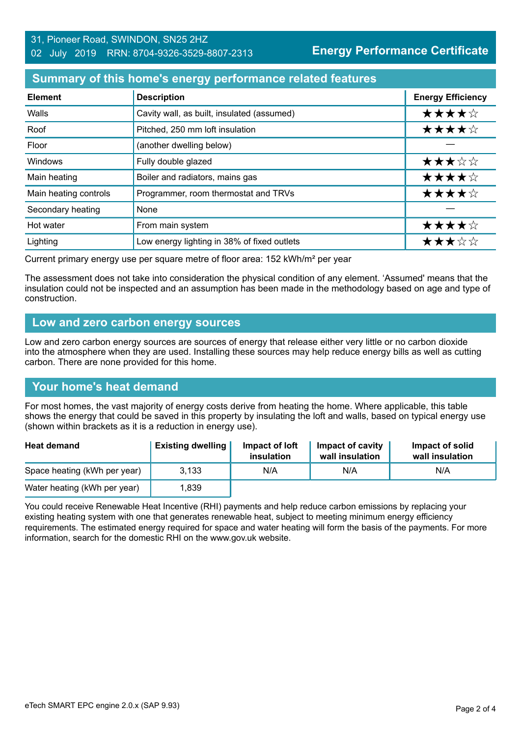#### 31, Pioneer Road, SWINDON, SN25 2HZ 02 July 2019 RRN: 8704-9326-3529-8807-2313

**Energy Performance Certificate**

#### **Summary of this home's energy performance related features**

| <b>Element</b>        | <b>Description</b>                          | <b>Energy Efficiency</b> |
|-----------------------|---------------------------------------------|--------------------------|
| Walls                 | Cavity wall, as built, insulated (assumed)  | ★★★★☆                    |
| Roof                  | Pitched, 250 mm loft insulation             | ★★★★☆                    |
| Floor                 | (another dwelling below)                    |                          |
| Windows               | Fully double glazed                         | ★★★☆☆                    |
| Main heating          | Boiler and radiators, mains gas             | ★★★★☆                    |
| Main heating controls | Programmer, room thermostat and TRVs        | ★★★★☆                    |
| Secondary heating     | None                                        |                          |
| Hot water             | From main system                            | ★★★★☆                    |
| Lighting              | Low energy lighting in 38% of fixed outlets | ★★★☆☆                    |

Current primary energy use per square metre of floor area: 152 kWh/m² per year

The assessment does not take into consideration the physical condition of any element. 'Assumed' means that the insulation could not be inspected and an assumption has been made in the methodology based on age and type of construction.

#### **Low and zero carbon energy sources**

Low and zero carbon energy sources are sources of energy that release either very little or no carbon dioxide into the atmosphere when they are used. Installing these sources may help reduce energy bills as well as cutting carbon. There are none provided for this home.

#### **Your home's heat demand**

For most homes, the vast majority of energy costs derive from heating the home. Where applicable, this table shows the energy that could be saved in this property by insulating the loft and walls, based on typical energy use (shown within brackets as it is a reduction in energy use).

| <b>Heat demand</b>           | <b>Existing dwelling</b> | Impact of loft<br>insulation | Impact of cavity<br>wall insulation | Impact of solid<br>wall insulation |
|------------------------------|--------------------------|------------------------------|-------------------------------------|------------------------------------|
| Space heating (kWh per year) | 3.133                    | N/A                          | N/A                                 | N/A                                |
| Water heating (kWh per year) | .839                     |                              |                                     |                                    |

You could receive Renewable Heat Incentive (RHI) payments and help reduce carbon emissions by replacing your existing heating system with one that generates renewable heat, subject to meeting minimum energy efficiency requirements. The estimated energy required for space and water heating will form the basis of the payments. For more information, search for the domestic RHI on the www.gov.uk website.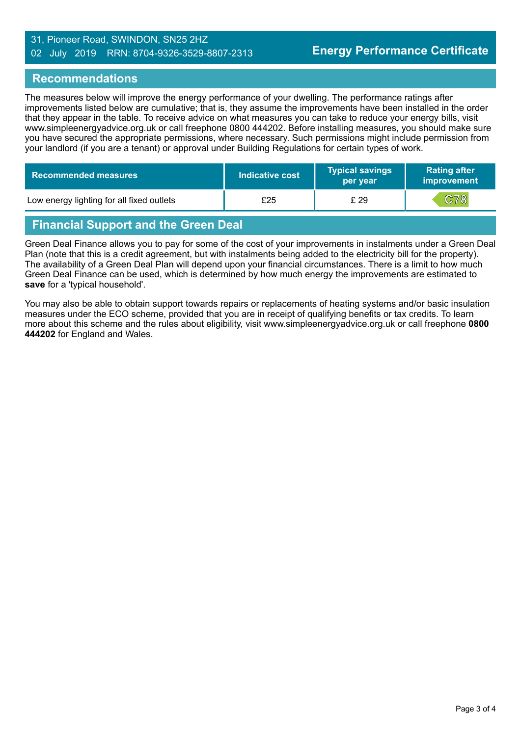#### 31, Pioneer Road, SWINDON, SN25 2HZ 02 July 2019 RRN: 8704-9326-3529-8807-2313

#### **Recommendations**

The measures below will improve the energy performance of your dwelling. The performance ratings after improvements listed below are cumulative; that is, they assume the improvements have been installed in the order that they appear in the table. To receive advice on what measures you can take to reduce your energy bills, visit www.simpleenergyadvice.org.uk or call freephone 0800 444202. Before installing measures, you should make sure you have secured the appropriate permissions, where necessary. Such permissions might include permission from your landlord (if you are a tenant) or approval under Building Regulations for certain types of work.

| Recommended measures                      | Indicative cost | <b>Typical savings</b><br>per year | <b>Rating after</b><br>improvement |
|-------------------------------------------|-----------------|------------------------------------|------------------------------------|
| Low energy lighting for all fixed outlets | £25             | £ 29                               | C78                                |

# **Financial Support and the Green Deal**

Green Deal Finance allows you to pay for some of the cost of your improvements in instalments under a Green Deal Plan (note that this is a credit agreement, but with instalments being added to the electricity bill for the property). The availability of a Green Deal Plan will depend upon your financial circumstances. There is a limit to how much Green Deal Finance can be used, which is determined by how much energy the improvements are estimated to **save** for a 'typical household'.

You may also be able to obtain support towards repairs or replacements of heating systems and/or basic insulation measures under the ECO scheme, provided that you are in receipt of qualifying benefits or tax credits. To learn more about this scheme and the rules about eligibility, visit www.simpleenergyadvice.org.uk or call freephone **0800 444202** for England and Wales.